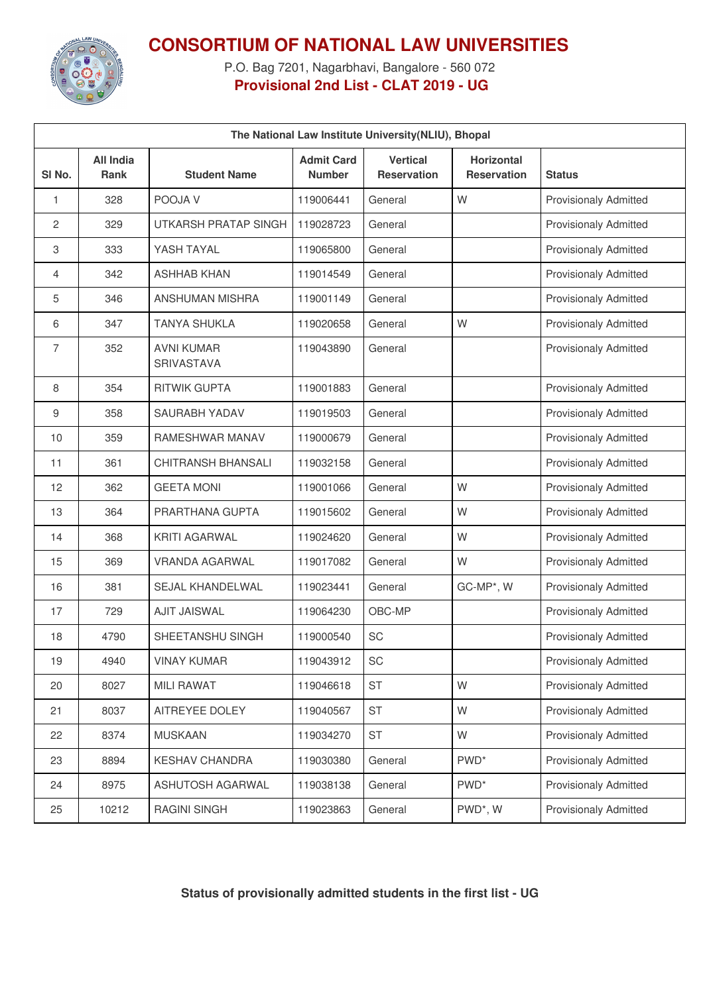

## **CONSORTIUM OF NATIONAL LAW UNIVERSITIES**

P.O. Bag 7201, Nagarbhavi, Bangalore - 560 072 **Provisional 2nd List - CLAT 2019 - UG**

| The National Law Institute University(NLIU), Bhopal |                          |                                 |                                    |                                       |                                         |                              |
|-----------------------------------------------------|--------------------------|---------------------------------|------------------------------------|---------------------------------------|-----------------------------------------|------------------------------|
| SI No.                                              | All India<br><b>Rank</b> | <b>Student Name</b>             | <b>Admit Card</b><br><b>Number</b> | <b>Vertical</b><br><b>Reservation</b> | <b>Horizontal</b><br><b>Reservation</b> | <b>Status</b>                |
| 1                                                   | 328                      | POOJA V                         | 119006441                          | General                               | W                                       | <b>Provisionaly Admitted</b> |
| 2                                                   | 329                      | <b>UTKARSH PRATAP SINGH</b>     | 119028723                          | General                               |                                         | <b>Provisionaly Admitted</b> |
| 3                                                   | 333                      | YASH TAYAL                      | 119065800                          | General                               |                                         | <b>Provisionaly Admitted</b> |
| 4                                                   | 342                      | <b>ASHHAB KHAN</b>              | 119014549                          | General                               |                                         | <b>Provisionaly Admitted</b> |
| 5                                                   | 346                      | ANSHUMAN MISHRA                 | 119001149                          | General                               |                                         | <b>Provisionaly Admitted</b> |
| 6                                                   | 347                      | <b>TANYA SHUKLA</b>             | 119020658                          | General                               | W                                       | <b>Provisionaly Admitted</b> |
| $\overline{7}$                                      | 352                      | <b>AVNI KUMAR</b><br>SRIVASTAVA | 119043890                          | General                               |                                         | <b>Provisionaly Admitted</b> |
| 8                                                   | 354                      | <b>RITWIK GUPTA</b>             | 119001883                          | General                               |                                         | <b>Provisionaly Admitted</b> |
| 9                                                   | 358                      | SAURABH YADAV                   | 119019503                          | General                               |                                         | <b>Provisionaly Admitted</b> |
| 10                                                  | 359                      | <b>RAMESHWAR MANAV</b>          | 119000679                          | General                               |                                         | <b>Provisionaly Admitted</b> |
| 11                                                  | 361                      | <b>CHITRANSH BHANSALI</b>       | 119032158                          | General                               |                                         | <b>Provisionaly Admitted</b> |
| 12                                                  | 362                      | <b>GEETA MONI</b>               | 119001066                          | General                               | W                                       | <b>Provisionaly Admitted</b> |
| 13                                                  | 364                      | PRARTHANA GUPTA                 | 119015602                          | General                               | W                                       | <b>Provisionaly Admitted</b> |
| 14                                                  | 368                      | <b>KRITI AGARWAL</b>            | 119024620                          | General                               | W                                       | <b>Provisionaly Admitted</b> |
| 15                                                  | 369                      | <b>VRANDA AGARWAL</b>           | 119017082                          | General                               | W                                       | <b>Provisionaly Admitted</b> |
| 16                                                  | 381                      | SEJAL KHANDELWAL                | 119023441                          | General                               | GC-MP*, W                               | <b>Provisionaly Admitted</b> |
| 17                                                  | 729                      | <b>AJIT JAISWAL</b>             | 119064230                          | OBC-MP                                |                                         | <b>Provisionaly Admitted</b> |
| 18                                                  | 4790                     | SHEETANSHU SINGH                | 119000540                          | SC                                    |                                         | <b>Provisionaly Admitted</b> |
| 19                                                  | 4940                     | <b>VINAY KUMAR</b>              | 119043912                          | SC                                    |                                         | <b>Provisionaly Admitted</b> |
| 20                                                  | 8027                     | <b>MILI RAWAT</b>               | 119046618                          | <b>ST</b>                             | W                                       | <b>Provisionaly Admitted</b> |
| 21                                                  | 8037                     | AITREYEE DOLEY                  | 119040567                          | <b>ST</b>                             | W                                       | Provisionaly Admitted        |
| 22                                                  | 8374                     | <b>MUSKAAN</b>                  | 119034270                          | ST                                    | W                                       | <b>Provisionaly Admitted</b> |
| 23                                                  | 8894                     | KESHAV CHANDRA                  | 119030380                          | General                               | PWD <sup>*</sup>                        | Provisionaly Admitted        |
| 24                                                  | 8975                     | ASHUTOSH AGARWAL                | 119038138                          | General                               | PWD <sup>*</sup>                        | Provisionaly Admitted        |
| 25                                                  | 10212                    | <b>RAGINI SINGH</b>             | 119023863                          | General                               | PWD*, W                                 | Provisionaly Admitted        |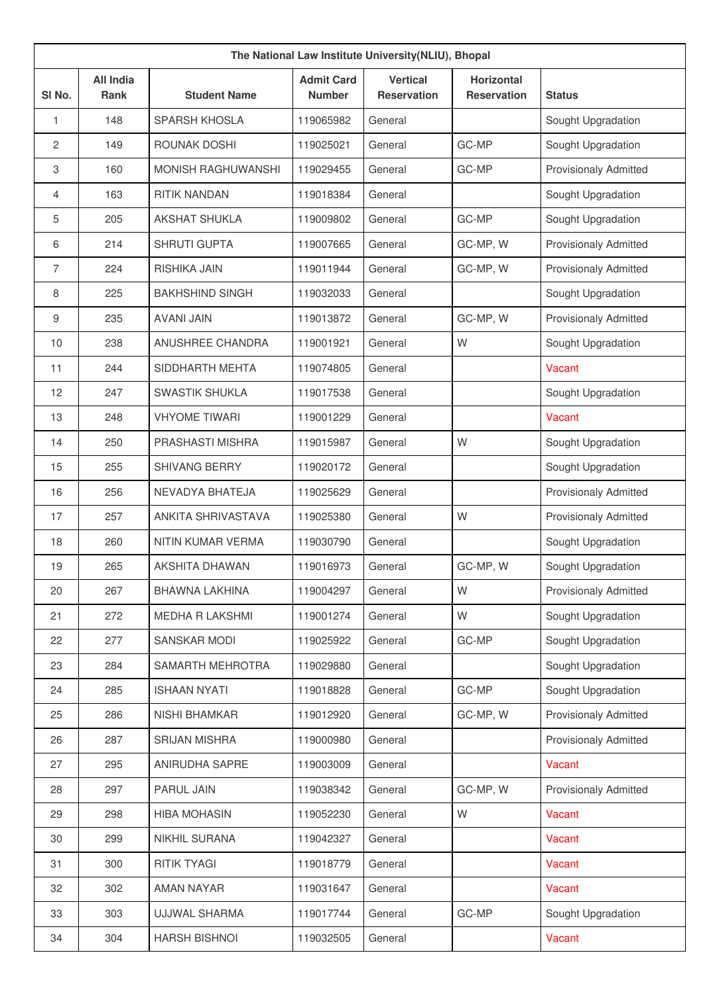| The National Law Institute University(NLIU), Bhopal |                          |                           |                                    |                                       |                                         |                              |
|-----------------------------------------------------|--------------------------|---------------------------|------------------------------------|---------------------------------------|-----------------------------------------|------------------------------|
| SI No.                                              | <b>All India</b><br>Rank | <b>Student Name</b>       | <b>Admit Card</b><br><b>Number</b> | <b>Vertical</b><br><b>Reservation</b> | <b>Horizontal</b><br><b>Reservation</b> | <b>Status</b>                |
| 1                                                   | 148                      | <b>SPARSH KHOSLA</b>      | 119065982                          | General                               |                                         | Sought Upgradation           |
| $\overline{c}$                                      | 149                      | ROUNAK DOSHI              | 119025021                          | General                               | GC-MP                                   | Sought Upgradation           |
| 3                                                   | 160                      | <b>MONISH RAGHUWANSHI</b> | 119029455                          | General                               | GC-MP                                   | <b>Provisionaly Admitted</b> |
| 4                                                   | 163                      | <b>RITIK NANDAN</b>       | 119018384                          | General                               |                                         | Sought Upgradation           |
| 5                                                   | 205                      | <b>AKSHAT SHUKLA</b>      | 119009802                          | General                               | GC-MP                                   | Sought Upgradation           |
| 6                                                   | 214                      | <b>SHRUTI GUPTA</b>       | 119007665                          | General                               | GC-MP, W                                | <b>Provisionaly Admitted</b> |
| $\overline{7}$                                      | 224                      | RISHIKA JAIN              | 119011944                          | General                               | GC-MP, W                                | <b>Provisionaly Admitted</b> |
| 8                                                   | 225                      | <b>BAKHSHIND SINGH</b>    | 119032033                          | General                               |                                         | Sought Upgradation           |
| 9                                                   | 235                      | <b>AVANI JAIN</b>         | 119013872                          | General                               | GC-MP, W                                | <b>Provisionaly Admitted</b> |
| 10                                                  | 238                      | <b>ANUSHREE CHANDRA</b>   | 119001921                          | General                               | W                                       | Sought Upgradation           |
| 11                                                  | 244                      | SIDDHARTH MEHTA           | 119074805                          | General                               |                                         | Vacant                       |
| 12                                                  | 247                      | <b>SWASTIK SHUKLA</b>     | 119017538                          | General                               |                                         | Sought Upgradation           |
| 13                                                  | 248                      | <b>VHYOME TIWARI</b>      | 119001229                          | General                               |                                         | Vacant                       |
| 14                                                  | 250                      | PRASHASTI MISHRA          | 119015987                          | General                               | W                                       | Sought Upgradation           |
| 15                                                  | 255                      | SHIVANG BERRY             | 119020172                          | General                               |                                         | Sought Upgradation           |
| 16                                                  | 256                      | NEVADYA BHATEJA           | 119025629                          | General                               |                                         | <b>Provisionaly Admitted</b> |
| 17                                                  | 257                      | ANKITA SHRIVASTAVA        | 119025380                          | General                               | W                                       | <b>Provisionaly Admitted</b> |
| 18                                                  | 260                      | NITIN KUMAR VERMA         | 119030790                          | General                               |                                         | Sought Upgradation           |
| 19                                                  | 265                      | AKSHITA DHAWAN            | 119016973                          | General                               | GC-MP, W                                | Sought Upgradation           |
| 20                                                  | 267                      | <b>BHAWNA LAKHINA</b>     | 119004297                          | General                               | W                                       | <b>Provisionaly Admitted</b> |
| 21                                                  | 272                      | MEDHA R LAKSHMI           | 119001274                          | General                               | W                                       | Sought Upgradation           |
| 22                                                  | 277                      | <b>SANSKAR MODI</b>       | 119025922                          | General                               | GC-MP                                   | Sought Upgradation           |
| 23                                                  | 284                      | SAMARTH MEHROTRA          | 119029880                          | General                               |                                         | Sought Upgradation           |
| 24                                                  | 285                      | <b>ISHAAN NYATI</b>       | 119018828                          | General                               | GC-MP                                   | Sought Upgradation           |
| 25                                                  | 286                      | NISHI BHAMKAR             | 119012920                          | General                               | GC-MP, W                                | <b>Provisionaly Admitted</b> |
| 26                                                  | 287                      | <b>SRIJAN MISHRA</b>      | 119000980                          | General                               |                                         | <b>Provisionaly Admitted</b> |
| 27                                                  | 295                      | ANIRUDHA SAPRE            | 119003009                          | General                               |                                         | Vacant                       |
| 28                                                  | 297                      | PARUL JAIN                | 119038342                          | General                               | GC-MP, W                                | <b>Provisionaly Admitted</b> |
| 29                                                  | 298                      | <b>HIBA MOHASIN</b>       | 119052230                          | General                               | W                                       | Vacant                       |
| 30                                                  | 299                      | NIKHIL SURANA             | 119042327                          | General                               |                                         | Vacant                       |
| 31                                                  | 300                      | <b>RITIK TYAGI</b>        | 119018779                          | General                               |                                         | Vacant                       |
| 32                                                  | 302                      | AMAN NAYAR                | 119031647                          | General                               |                                         | Vacant                       |
| 33                                                  | 303                      | <b>UJJWAL SHARMA</b>      | 119017744                          | General                               | GC-MP                                   | Sought Upgradation           |
| 34                                                  | 304                      | <b>HARSH BISHNOI</b>      | 119032505                          | General                               |                                         | Vacant                       |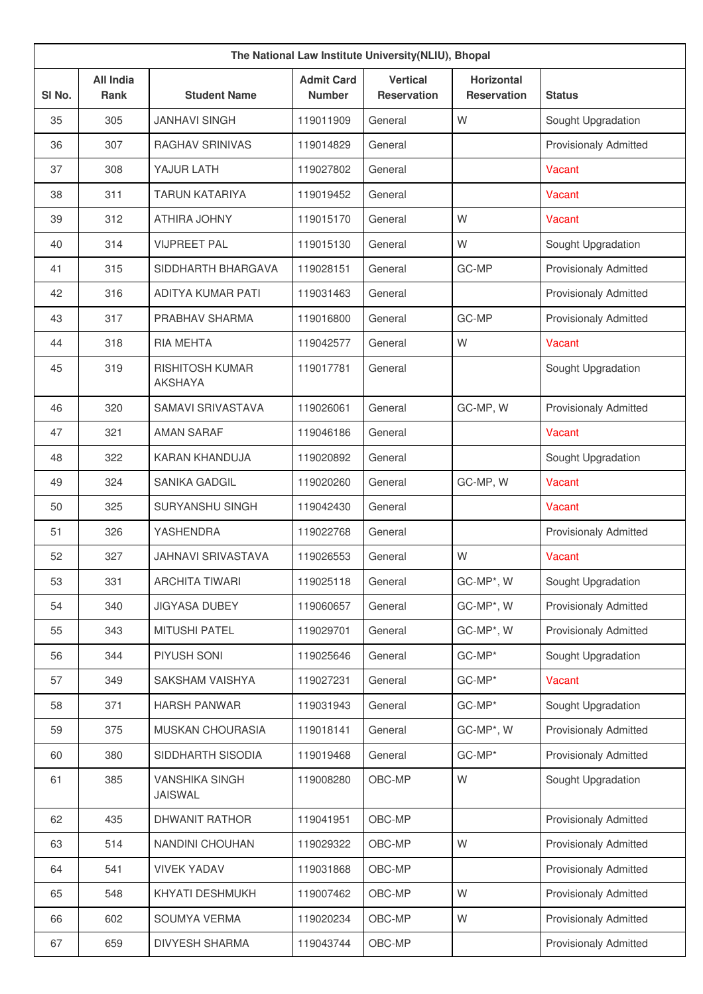| The National Law Institute University(NLIU), Bhopal |                                 |                                          |                                    |                                       |                                         |                              |
|-----------------------------------------------------|---------------------------------|------------------------------------------|------------------------------------|---------------------------------------|-----------------------------------------|------------------------------|
| SI <sub>No.</sub>                                   | <b>All India</b><br><b>Rank</b> | <b>Student Name</b>                      | <b>Admit Card</b><br><b>Number</b> | <b>Vertical</b><br><b>Reservation</b> | <b>Horizontal</b><br><b>Reservation</b> | <b>Status</b>                |
| 35                                                  | 305                             | <b>JANHAVI SINGH</b>                     | 119011909                          | General                               | W                                       | Sought Upgradation           |
| 36                                                  | 307                             | <b>RAGHAV SRINIVAS</b>                   | 119014829                          | General                               |                                         | <b>Provisionaly Admitted</b> |
| 37                                                  | 308                             | YAJUR LATH                               | 119027802                          | General                               |                                         | Vacant                       |
| 38                                                  | 311                             | <b>TARUN KATARIYA</b>                    | 119019452                          | General                               |                                         | Vacant                       |
| 39                                                  | 312                             | <b>ATHIRA JOHNY</b>                      | 119015170                          | General                               | W                                       | Vacant                       |
| 40                                                  | 314                             | <b>VIJPREET PAL</b>                      | 119015130                          | General                               | W                                       | Sought Upgradation           |
| 41                                                  | 315                             | SIDDHARTH BHARGAVA                       | 119028151                          | General                               | GC-MP                                   | <b>Provisionaly Admitted</b> |
| 42                                                  | 316                             | <b>ADITYA KUMAR PATI</b>                 | 119031463                          | General                               |                                         | <b>Provisionaly Admitted</b> |
| 43                                                  | 317                             | PRABHAV SHARMA                           | 119016800                          | General                               | GC-MP                                   | <b>Provisionaly Admitted</b> |
| 44                                                  | 318                             | <b>RIA MEHTA</b>                         | 119042577                          | General                               | W                                       | Vacant                       |
| 45                                                  | 319                             | <b>RISHITOSH KUMAR</b><br><b>AKSHAYA</b> | 119017781                          | General                               |                                         | Sought Upgradation           |
| 46                                                  | 320                             | <b>SAMAVI SRIVASTAVA</b>                 | 119026061                          | General                               | GC-MP, W                                | <b>Provisionaly Admitted</b> |
| 47                                                  | 321                             | <b>AMAN SARAF</b>                        | 119046186                          | General                               |                                         | Vacant                       |
| 48                                                  | 322                             | <b>KARAN KHANDUJA</b>                    | 119020892                          | General                               |                                         | Sought Upgradation           |
| 49                                                  | 324                             | <b>SANIKA GADGIL</b>                     | 119020260                          | General                               | GC-MP, W                                | Vacant                       |
| 50                                                  | 325                             | <b>SURYANSHU SINGH</b>                   | 119042430                          | General                               |                                         | Vacant                       |
| 51                                                  | 326                             | <b>YASHENDRA</b>                         | 119022768                          | General                               |                                         | <b>Provisionaly Admitted</b> |
| 52                                                  | 327                             | <b>JAHNAVI SRIVASTAVA</b>                | 119026553                          | General                               | W                                       | Vacant                       |
| 53                                                  | 331                             | <b>ARCHITA TIWARI</b>                    | 119025118                          | General                               | GC-MP*, W                               | Sought Upgradation           |
| 54                                                  | 340                             | <b>JIGYASA DUBEY</b>                     | 119060657                          | General                               | GC-MP*, W                               | Provisionaly Admitted        |
| 55                                                  | 343                             | <b>MITUSHI PATEL</b>                     | 119029701                          | General                               | GC-MP*, W                               | Provisionaly Admitted        |
| 56                                                  | 344                             | PIYUSH SONI                              | 119025646                          | General                               | GC-MP*                                  | Sought Upgradation           |
| 57                                                  | 349                             | SAKSHAM VAISHYA                          | 119027231                          | General                               | GC-MP*                                  | Vacant                       |
| 58                                                  | 371                             | <b>HARSH PANWAR</b>                      | 119031943                          | General                               | GC-MP*                                  | Sought Upgradation           |
| 59                                                  | 375                             | MUSKAN CHOURASIA                         | 119018141                          | General                               | GC-MP*, W                               | Provisionaly Admitted        |
| 60                                                  | 380                             | SIDDHARTH SISODIA                        | 119019468                          | General                               | GC-MP*                                  | Provisionaly Admitted        |
| 61                                                  | 385                             | <b>VANSHIKA SINGH</b><br><b>JAISWAL</b>  | 119008280                          | OBC-MP                                | W                                       | Sought Upgradation           |
| 62                                                  | 435                             | DHWANIT RATHOR                           | 119041951                          | OBC-MP                                |                                         | Provisionaly Admitted        |
| 63                                                  | 514                             | <b>NANDINI CHOUHAN</b>                   | 119029322                          | OBC-MP                                | W                                       | Provisionaly Admitted        |
| 64                                                  | 541                             | <b>VIVEK YADAV</b>                       | 119031868                          | OBC-MP                                |                                         | Provisionaly Admitted        |
| 65                                                  | 548                             | KHYATI DESHMUKH                          | 119007462                          | OBC-MP                                | W                                       | <b>Provisionaly Admitted</b> |
| 66                                                  | 602                             | SOUMYA VERMA                             | 119020234                          | OBC-MP                                | W                                       | Provisionaly Admitted        |
| 67                                                  | 659                             | <b>DIVYESH SHARMA</b>                    | 119043744                          | OBC-MP                                |                                         | Provisionaly Admitted        |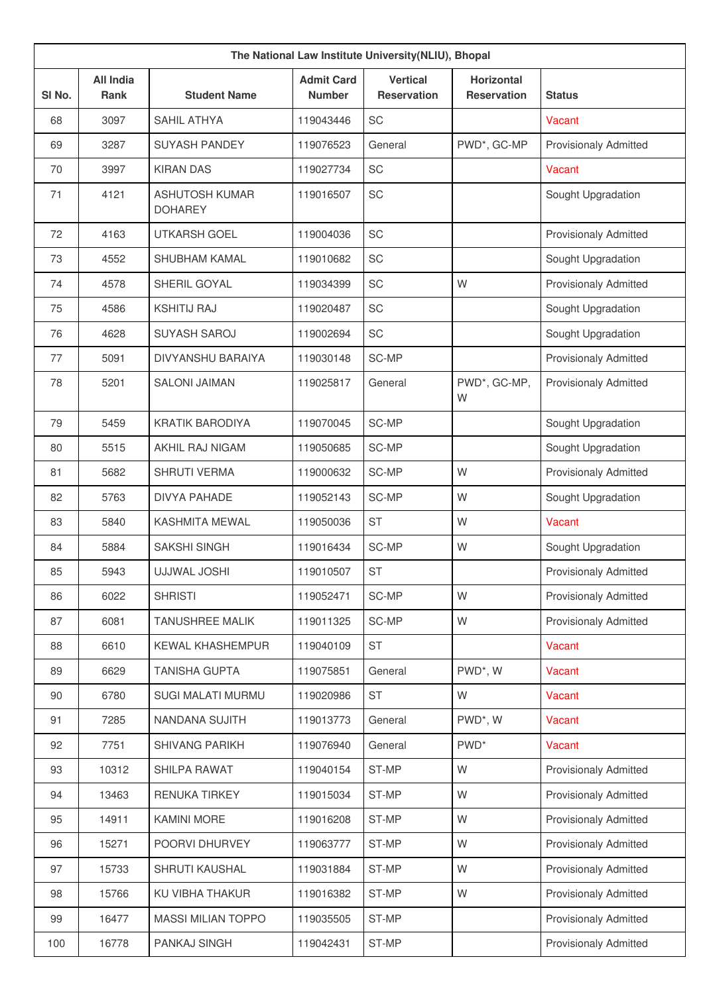| The National Law Institute University (NLIU), Bhopal |                                 |                                         |                                    |                                       |                                         |                              |
|------------------------------------------------------|---------------------------------|-----------------------------------------|------------------------------------|---------------------------------------|-----------------------------------------|------------------------------|
| SI No.                                               | <b>All India</b><br><b>Rank</b> | <b>Student Name</b>                     | <b>Admit Card</b><br><b>Number</b> | <b>Vertical</b><br><b>Reservation</b> | <b>Horizontal</b><br><b>Reservation</b> | <b>Status</b>                |
| 68                                                   | 3097                            | <b>SAHIL ATHYA</b>                      | 119043446                          | SC                                    |                                         | <b>Vacant</b>                |
| 69                                                   | 3287                            | <b>SUYASH PANDEY</b>                    | 119076523                          | General                               | PWD*, GC-MP                             | <b>Provisionaly Admitted</b> |
| 70                                                   | 3997                            | <b>KIRAN DAS</b>                        | 119027734                          | SC                                    |                                         | Vacant                       |
| 71                                                   | 4121                            | <b>ASHUTOSH KUMAR</b><br><b>DOHAREY</b> | 119016507                          | SC                                    |                                         | Sought Upgradation           |
| 72                                                   | 4163                            | <b>UTKARSH GOEL</b>                     | 119004036                          | SC                                    |                                         | <b>Provisionaly Admitted</b> |
| 73                                                   | 4552                            | <b>SHUBHAM KAMAL</b>                    | 119010682                          | SC                                    |                                         | Sought Upgradation           |
| 74                                                   | 4578                            | SHERIL GOYAL                            | 119034399                          | <b>SC</b>                             | W                                       | <b>Provisionaly Admitted</b> |
| 75                                                   | 4586                            | <b>KSHITIJ RAJ</b>                      | 119020487                          | SC                                    |                                         | Sought Upgradation           |
| 76                                                   | 4628                            | <b>SUYASH SAROJ</b>                     | 119002694                          | SC                                    |                                         | Sought Upgradation           |
| 77                                                   | 5091                            | <b>DIVYANSHU BARAIYA</b>                | 119030148                          | SC-MP                                 |                                         | Provisionaly Admitted        |
| 78                                                   | 5201                            | <b>SALONI JAIMAN</b>                    | 119025817                          | General                               | PWD*, GC-MP,<br>W                       | <b>Provisionaly Admitted</b> |
| 79                                                   | 5459                            | <b>KRATIK BARODIYA</b>                  | 119070045                          | SC-MP                                 |                                         | Sought Upgradation           |
| 80                                                   | 5515                            | AKHIL RAJ NIGAM                         | 119050685                          | SC-MP                                 |                                         | Sought Upgradation           |
| 81                                                   | 5682                            | <b>SHRUTI VERMA</b>                     | 119000632                          | SC-MP                                 | W                                       | Provisionaly Admitted        |
| 82                                                   | 5763                            | <b>DIVYA PAHADE</b>                     | 119052143                          | SC-MP                                 | W                                       | Sought Upgradation           |
| 83                                                   | 5840                            | <b>KASHMITA MEWAL</b>                   | 119050036                          | <b>ST</b>                             | W                                       | Vacant                       |
| 84                                                   | 5884                            | <b>SAKSHI SINGH</b>                     | 119016434                          | SC-MP                                 | W                                       | Sought Upgradation           |
| 85                                                   | 5943                            | UJJWAL JOSHI                            | 119010507                          | <b>ST</b>                             |                                         | Provisionaly Admitted        |
| 86                                                   | 6022                            | <b>SHRISTI</b>                          | 119052471                          | SC-MP                                 | W                                       | <b>Provisionaly Admitted</b> |
| 87                                                   | 6081                            | TANUSHREE MALIK                         | 119011325                          | SC-MP                                 | W                                       | Provisionaly Admitted        |
| 88                                                   | 6610                            | KEWAL KHASHEMPUR                        | 119040109                          | <b>ST</b>                             |                                         | Vacant                       |
| 89                                                   | 6629                            | <b>TANISHA GUPTA</b>                    | 119075851                          | General                               | PWD*, W                                 | Vacant                       |
| 90                                                   | 6780                            | SUGI MALATI MURMU                       | 119020986                          | <b>ST</b>                             | W                                       | Vacant                       |
| 91                                                   | 7285                            | NANDANA SUJITH                          | 119013773                          | General                               | PWD*, W                                 | Vacant                       |
| 92                                                   | 7751                            | SHIVANG PARIKH                          | 119076940                          | General                               | PWD <sup>*</sup>                        | Vacant                       |
| 93                                                   | 10312                           | SHILPA RAWAT                            | 119040154                          | ST-MP                                 | W                                       | <b>Provisionaly Admitted</b> |
| 94                                                   | 13463                           | <b>RENUKA TIRKEY</b>                    | 119015034                          | ST-MP                                 | W                                       | <b>Provisionaly Admitted</b> |
| 95                                                   | 14911                           | <b>KAMINI MORE</b>                      | 119016208                          | ST-MP                                 | W                                       | <b>Provisionaly Admitted</b> |
| 96                                                   | 15271                           | POORVI DHURVEY                          | 119063777                          | ST-MP                                 | W                                       | Provisionaly Admitted        |
| 97                                                   | 15733                           | SHRUTI KAUSHAL                          | 119031884                          | ST-MP                                 | W                                       | <b>Provisionaly Admitted</b> |
| 98                                                   | 15766                           | KU VIBHA THAKUR                         | 119016382                          | ST-MP                                 | W                                       | <b>Provisionaly Admitted</b> |
| 99                                                   | 16477                           | <b>MASSI MILIAN TOPPO</b>               | 119035505                          | ST-MP                                 |                                         | <b>Provisionaly Admitted</b> |
| 100                                                  | 16778                           | PANKAJ SINGH                            | 119042431                          | ST-MP                                 |                                         | Provisionaly Admitted        |